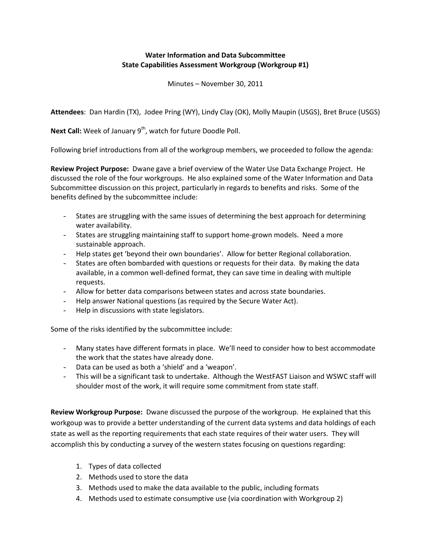## **Water Information and Data Subcommittee State Capabilities Assessment Workgroup (Workgroup #1)**

Minutes – November 30, 2011

**Attendees**: Dan Hardin (TX), Jodee Pring (WY), Lindy Clay (OK), Molly Maupin (USGS), Bret Bruce (USGS)

Next Call: Week of January 9<sup>th</sup>, watch for future Doodle Poll.

Following brief introductions from all of the workgroup members, we proceeded to follow the agenda:

**Review Project Purpose:** Dwane gave a brief overview of the Water Use Data Exchange Project. He discussed the role of the four workgroups. He also explained some of the Water Information and Data Subcommittee discussion on this project, particularly in regards to benefits and risks. Some of the benefits defined by the subcommittee include:

- States are struggling with the same issues of determining the best approach for determining water availability.
- States are struggling maintaining staff to support home-grown models. Need a more sustainable approach.
- Help states get 'beyond their own boundaries'. Allow for better Regional collaboration.
- States are often bombarded with questions or requests for their data. By making the data available, in a common well-defined format, they can save time in dealing with multiple requests.
- Allow for better data comparisons between states and across state boundaries.
- Help answer National questions (as required by the Secure Water Act).
- Help in discussions with state legislators.

Some of the risks identified by the subcommittee include:

- Many states have different formats in place. We'll need to consider how to best accommodate the work that the states have already done.
- Data can be used as both a 'shield' and a 'weapon'.
- This will be a significant task to undertake. Although the WestFAST Liaison and WSWC staff will shoulder most of the work, it will require some commitment from state staff.

**Review Workgroup Purpose:** Dwane discussed the purpose of the workgroup. He explained that this workgoup was to provide a better understanding of the current data systems and data holdings of each state as well as the reporting requirements that each state requires of their water users. They will accomplish this by conducting a survey of the western states focusing on questions regarding:

- 1. Types of data collected
- 2. Methods used to store the data
- 3. Methods used to make the data available to the public, including formats
- 4. Methods used to estimate consumptive use (via coordination with Workgroup 2)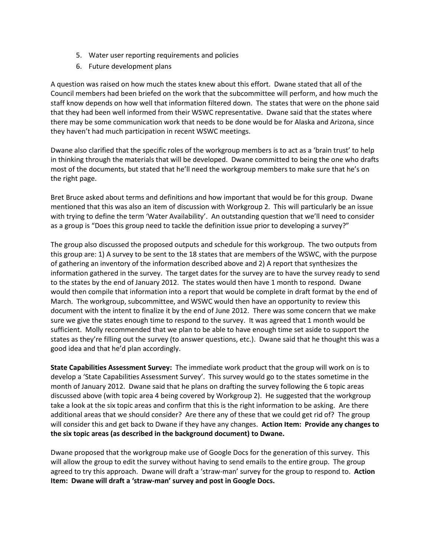- 5. Water user reporting requirements and policies
- 6. Future development plans

A question was raised on how much the states knew about this effort. Dwane stated that all of the Council members had been briefed on the work that the subcommittee will perform, and how much the staff know depends on how well that information filtered down. The states that were on the phone said that they had been well informed from their WSWC representative. Dwane said that the states where there may be some communication work that needs to be done would be for Alaska and Arizona, since they haven't had much participation in recent WSWC meetings.

Dwane also clarified that the specific roles of the workgroup members is to act as a 'brain trust' to help in thinking through the materials that will be developed. Dwane committed to being the one who drafts most of the documents, but stated that he'll need the workgroup members to make sure that he's on the right page.

Bret Bruce asked about terms and definitions and how important that would be for this group. Dwane mentioned that this was also an item of discussion with Workgroup 2. This will particularly be an issue with trying to define the term 'Water Availability'. An outstanding question that we'll need to consider as a group is "Does this group need to tackle the definition issue prior to developing a survey?"

The group also discussed the proposed outputs and schedule for this workgroup. The two outputs from this group are: 1) A survey to be sent to the 18 states that are members of the WSWC, with the purpose of gathering an inventory of the information described above and 2) A report that synthesizes the information gathered in the survey. The target dates for the survey are to have the survey ready to send to the states by the end of January 2012. The states would then have 1 month to respond. Dwane would then compile that information into a report that would be complete in draft format by the end of March. The workgroup, subcommittee, and WSWC would then have an opportunity to review this document with the intent to finalize it by the end of June 2012. There was some concern that we make sure we give the states enough time to respond to the survey. It was agreed that 1 month would be sufficient. Molly recommended that we plan to be able to have enough time set aside to support the states as they're filling out the survey (to answer questions, etc.). Dwane said that he thought this was a good idea and that he'd plan accordingly.

**State Capabilities Assessment Survey:** The immediate work product that the group will work on is to develop a 'State Capabilities Assessment Survey'. This survey would go to the states sometime in the month of January 2012. Dwane said that he plans on drafting the survey following the 6 topic areas discussed above (with topic area 4 being covered by Workgroup 2). He suggested that the workgroup take a look at the six topic areas and confirm that this is the right information to be asking. Are there additional areas that we should consider? Are there any of these that we could get rid of? The group will consider this and get back to Dwane if they have any changes. **Action Item: Provide any changes to the six topic areas (as described in the background document) to Dwane.**

Dwane proposed that the workgroup make use of Google Docs for the generation of this survey. This will allow the group to edit the survey without having to send emails to the entire group. The group agreed to try this approach. Dwane will draft a 'straw-man' survey for the group to respond to. **Action Item: Dwane will draft a 'straw-man' survey and post in Google Docs.**